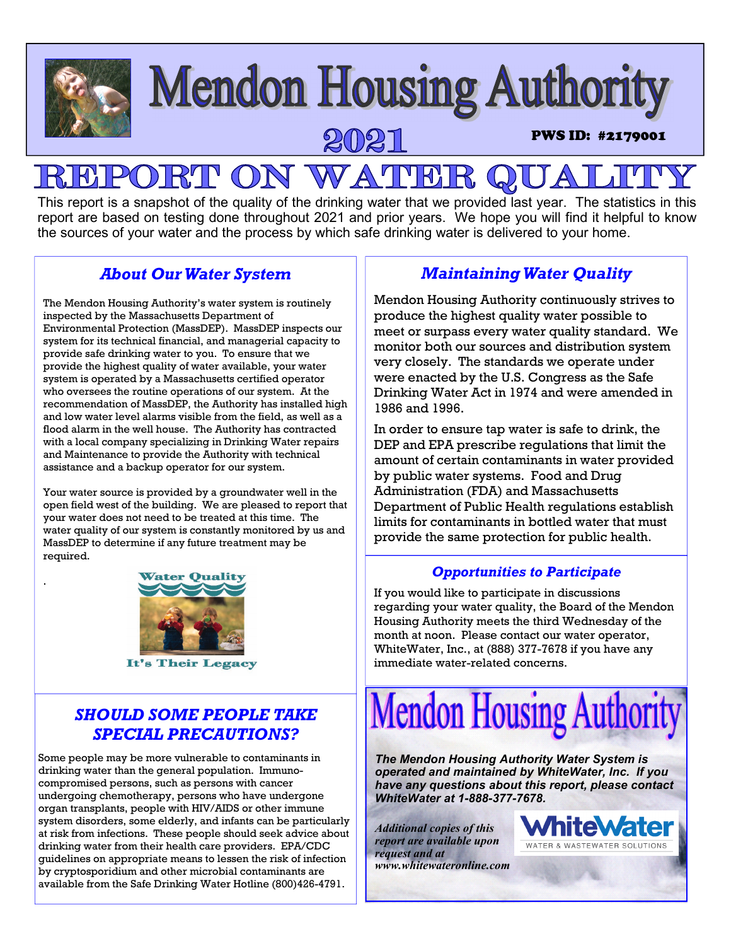

This report is a snapshot of the quality of the drinking water that we provided last year. The statistics in this report are based on testing done throughout 2021 and prior years. We hope you will find it helpful to know the sources of your water and the process by which safe drinking water is delivered to your home.

### *About Our Water System*

The Mendon Housing Authority's water system is routinely inspected by the Massachusetts Department of Environmental Protection (MassDEP). MassDEP inspects our system for its technical financial, and managerial capacity to provide safe drinking water to you. To ensure that we provide the highest quality of water available, your water system is operated by a Massachusetts certified operator who oversees the routine operations of our system. At the recommendation of MassDEP, the Authority has installed high and low water level alarms visible from the field, as well as a flood alarm in the well house. The Authority has contracted with a local company specializing in Drinking Water repairs and Maintenance to provide the Authority with technical assistance and a backup operator for our system.

Your water source is provided by a groundwater well in the open field west of the building. We are pleased to report that your water does not need to be treated at this time. The water quality of our system is constantly monitored by us and MassDEP to determine if any future treatment may be required.



.

It's Their Legacy

## *SHOULD SOME PEOPLE TAKE SPECIAL PRECAUTIONS?*

Some people may be more vulnerable to contaminants in drinking water than the general population. Immunocompromised persons, such as persons with cancer undergoing chemotherapy, persons who have undergone organ transplants, people with HIV/AIDS or other immune system disorders, some elderly, and infants can be particularly at risk from infections. These people should seek advice about drinking water from their health care providers. EPA/CDC guidelines on appropriate means to lessen the risk of infection by cryptosporidium and other microbial contaminants are available from the Safe Drinking Water Hotline (800)426-4791.

## *Maintaining Water Quality*

Mendon Housing Authority continuously strives to produce the highest quality water possible to meet or surpass every water quality standard. We monitor both our sources and distribution system very closely. The standards we operate under were enacted by the U.S. Congress as the Safe Drinking Water Act in 1974 and were amended in 1986 and 1996.

In order to ensure tap water is safe to drink, the DEP and EPA prescribe regulations that limit the amount of certain contaminants in water provided by public water systems. Food and Drug Administration (FDA) and Massachusetts Department of Public Health regulations establish limits for contaminants in bottled water that must provide the same protection for public health.

### *Opportunities to Participate*

If you would like to participate in discussions regarding your water quality, the Board of the Mendon Housing Authority meets the third Wednesday of the month at noon. Please contact our water operator, WhiteWater, Inc., at (888) 377-7678 if you have any immediate water-related concerns.



*The Mendon Housing Authority Water System is operated and maintained by WhiteWater, Inc. If you have any questions about this report, please contact WhiteWater at 1-888-377-7678.* 

*Additional copies of this report are available upon request and at www.whitewateronline.com* 

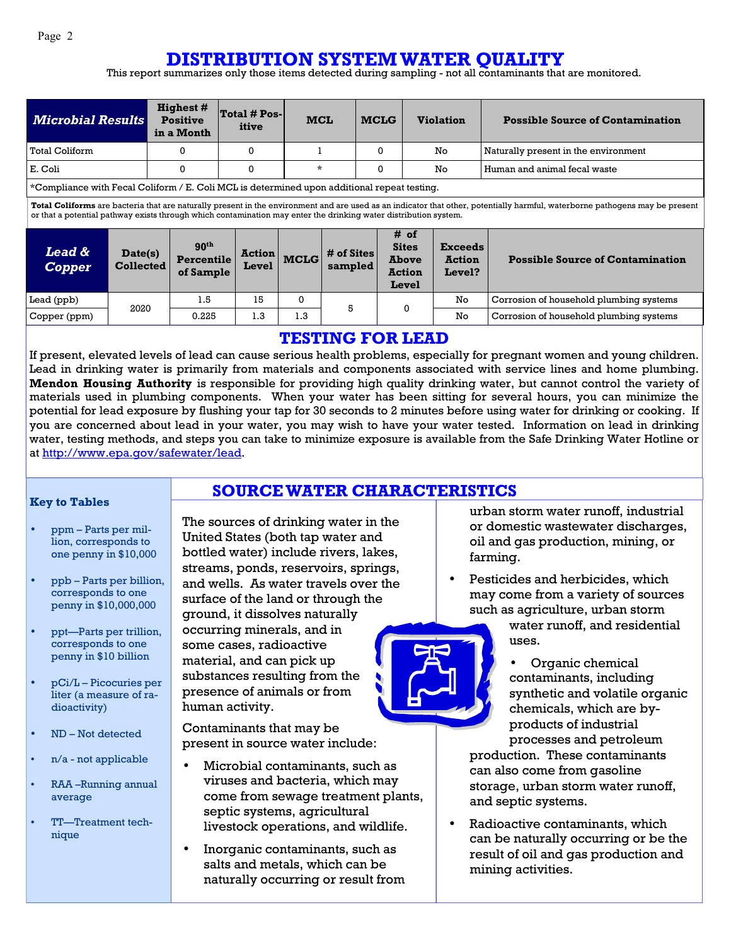### **DISTRIBUTION SYSTEM WATER QUALITY**

This report summarizes only those items detected during sampling - not all contaminants that are monitored.

| <b>Microbial Results</b>                                                                                                                                                                                                                                                                         |                             | <b>Highest #</b><br><b>Positive</b><br>in a Month | Total # Pos-<br>itive  | <b>MCL</b>  |                       | <b>MCLG</b> |                                                                | <b>Violation</b>                          | <b>Possible Source of Contamination</b> |
|--------------------------------------------------------------------------------------------------------------------------------------------------------------------------------------------------------------------------------------------------------------------------------------------------|-----------------------------|---------------------------------------------------|------------------------|-------------|-----------------------|-------------|----------------------------------------------------------------|-------------------------------------------|-----------------------------------------|
| <b>Total Coliform</b>                                                                                                                                                                                                                                                                            |                             | $\Omega$                                          | $\Omega$               |             |                       | $\Omega$    |                                                                | No.                                       | Naturally present in the environment    |
| E. Coli                                                                                                                                                                                                                                                                                          |                             | 0                                                 | $\Omega$               | $\star$     |                       | 0           | No                                                             |                                           | Human and animal fecal waste            |
| *Compliance with Fecal Coliform / E. Coli MCL is determined upon additional repeat testing.                                                                                                                                                                                                      |                             |                                                   |                        |             |                       |             |                                                                |                                           |                                         |
| Total Coliforms are bacteria that are naturally present in the environment and are used as an indicator that other, potentially harmful, waterborne pathogens may be present<br>or that a potential pathway exists through which contamination may enter the drinking water distribution system. |                             |                                                   |                        |             |                       |             |                                                                |                                           |                                         |
| <b>Lead &amp;</b><br><b>Copper</b>                                                                                                                                                                                                                                                               | Date(s)<br><b>Collected</b> | 90 <sup>th</sup><br>Percentile<br>of Sample       | <b>Action</b><br>Level | <b>MCLG</b> | # of Sites<br>sampled |             | # of<br><b>Sites</b><br><b>Above</b><br><b>Action</b><br>Level | <b>Exceeds</b><br><b>Action</b><br>Level? | <b>Possible Source of Contamination</b> |
| Lead (ppb)                                                                                                                                                                                                                                                                                       | 2020                        | 1.5                                               | 15                     | 0           | 5                     |             | 0                                                              | No                                        | Corrosion of household plumbing systems |
| Copper (ppm)                                                                                                                                                                                                                                                                                     |                             | 0.225                                             | 1.3                    | 1.3         |                       |             |                                                                | No                                        | Corrosion of household plumbing systems |

### **TESTING FOR LEAD**

If present, elevated levels of lead can cause serious health problems, especially for pregnant women and young children. Lead in drinking water is primarily from materials and components associated with service lines and home plumbing. **Mendon Housing Authority** is responsible for providing high quality drinking water, but cannot control the variety of materials used in plumbing components. When your water has been sitting for several hours, you can minimize the potential for lead exposure by flushing your tap for 30 seconds to 2 minutes before using water for drinking or cooking. If you are concerned about lead in your water, you may wish to have your water tested. Information on lead in drinking water, testing methods, and steps you can take to minimize exposure is available from the Safe Drinking Water Hotline or at http://www.epa.gov/safewater/lead.

**SOURCE WATER CHARACTERISTICS**

#### **Key to Tables**

- ppm Parts per million, corresponds to one penny in \$10,000
- ppb Parts per billion, corresponds to one penny in \$10,000,000
- ppt—Parts per trillion, corresponds to one penny in \$10 billion
- pCi/L Picocuries per liter (a measure of radioactivity)
- ND Not detected
- n/a not applicable
- RAA –Running annual average
- TT—Treatment technique

The sources of drinking water in the United States (both tap water and bottled water) include rivers, lakes, streams, ponds, reservoirs, springs, and wells. As water travels over the surface of the land or through the ground, it dissolves naturally occurring minerals, and in some cases, radioactive material, and can pick up substances resulting from the presence of animals or from human activity.

Contaminants that may be present in source water include:

- Microbial contaminants, such as viruses and bacteria, which may come from sewage treatment plants, septic systems, agricultural livestock operations, and wildlife.
- Inorganic contaminants, such as salts and metals, which can be naturally occurring or result from



- Pesticides and herbicides, which may come from a variety of sources such as agriculture, urban storm
	- water runoff, and residential uses.
	- Organic chemical contaminants, including synthetic and volatile organic chemicals, which are byproducts of industrial processes and petroleum

production. These contaminants can also come from gasoline storage, urban storm water runoff, and septic systems.

Radioactive contaminants, which can be naturally occurring or be the result of oil and gas production and mining activities.

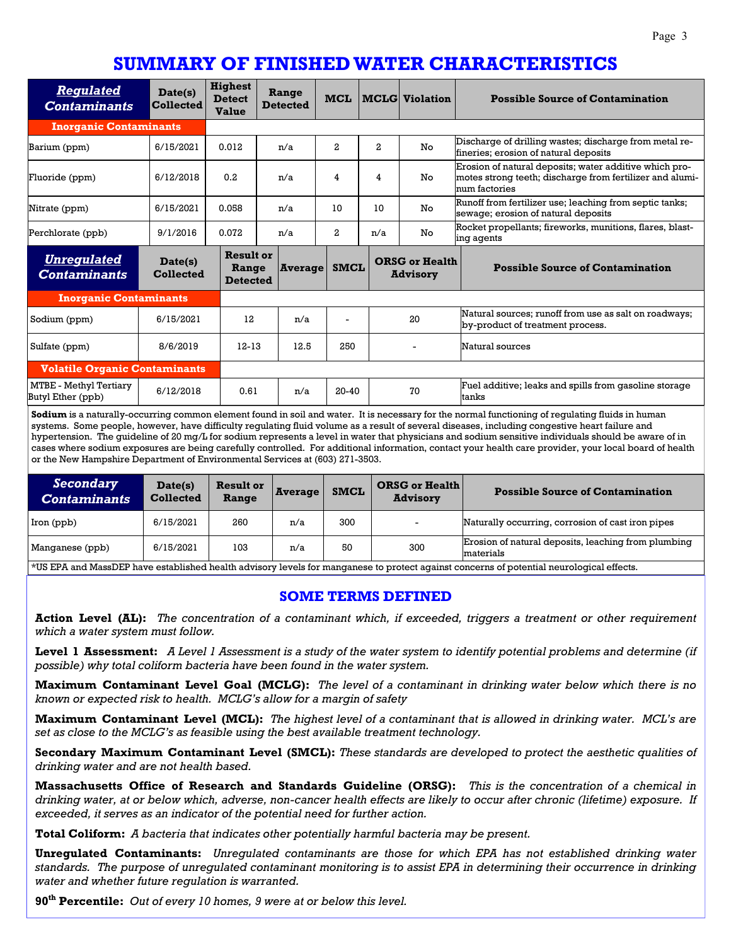# **SUMMARY OF FINISHED WATER CHARACTERISTICS**

| <b>Regulated</b><br><b>Contaminants</b>     | Date(s)<br><b>Collected</b> | <b>Highest</b><br><b>Detect</b><br><b>Value</b> | Range<br><b>Detected</b> | <b>MCL</b>   |                | <b>MCLG</b> Violation                    | <b>Possible Source of Contamination</b>                                                                                             |
|---------------------------------------------|-----------------------------|-------------------------------------------------|--------------------------|--------------|----------------|------------------------------------------|-------------------------------------------------------------------------------------------------------------------------------------|
| <b>Inorganic Contaminants</b>               |                             |                                                 |                          |              |                |                                          |                                                                                                                                     |
| Barium (ppm)                                | 6/15/2021                   | 0.012                                           | n/a                      | 2            | $\overline{a}$ | No                                       | Discharge of drilling wastes; discharge from metal re-<br>fineries; erosion of natural deposits                                     |
| Fluoride (ppm)                              | 6/12/2018                   | 0.2                                             | n/a                      | 4            | 4              | No                                       | Erosion of natural deposits; water additive which pro-<br>motes strong teeth; discharge from fertilizer and alumi-<br>num factories |
| Nitrate (ppm)                               | 6/15/2021                   | 0.058                                           | n/a                      | 10           | 10             | No                                       | Runoff from fertilizer use; leaching from septic tanks;<br>sewage; erosion of natural deposits                                      |
| Perchlorate (ppb)                           | 9/1/2016                    | 0.072                                           | n/a                      | $\mathbf{z}$ | n/a            | No                                       | Rocket propellants; fireworks, munitions, flares, blast-<br>ing agents                                                              |
| <b>Unregulated</b><br><b>Contaminants</b>   | Date(s)<br><b>Collected</b> | <b>Result or</b><br>Range<br><b>Detected</b>    | <b>Average</b>           | <b>SMCL</b>  |                | <b>ORSG or Health</b><br><b>Advisory</b> | <b>Possible Source of Contamination</b>                                                                                             |
| <b>Inorganic Contaminants</b>               |                             |                                                 |                          |              |                |                                          |                                                                                                                                     |
| Sodium (ppm)                                | 6/15/2021                   | 12                                              | n/a                      |              |                | 20                                       | Natural sources; runoff from use as salt on roadways;<br>by-product of treatment process.                                           |
| Sulfate (ppm)                               | 8/6/2019                    | $12 - 13$                                       | 12.5                     | 250          |                |                                          | Natural sources                                                                                                                     |
| <b>Volatile Organic Contaminants</b>        |                             |                                                 |                          |              |                |                                          |                                                                                                                                     |
| MTBE - Methyl Tertiary<br>Butyl Ether (ppb) | 6/12/2018                   | 0.61                                            | n/a                      | $20 - 40$    |                | 70                                       | Fuel additive; leaks and spills from gasoline storage<br>tanks                                                                      |

**Sodium** is a naturally-occurring common element found in soil and water. It is necessary for the normal functioning of regulating fluids in human systems. Some people, however, have difficulty regulating fluid volume as a result of several diseases, including congestive heart failure and hypertension. The guideline of 20 mg/L for sodium represents a level in water that physicians and sodium sensitive individuals should be aware of in cases where sodium exposures are being carefully controlled. For additional information, contact your health care provider, your local board of health or the New Hampshire Department of Environmental Services at (603) 271-3503.

| Secondary<br><b>Contaminants</b> | Date(s)<br><b>Collected</b> | <b>Result or</b><br>Range | Average | <b>SMCL</b> | <b>ORSG or Health</b><br><b>Advisory</b> | <b>Possible Source of Contamination</b>                          |
|----------------------------------|-----------------------------|---------------------------|---------|-------------|------------------------------------------|------------------------------------------------------------------|
| Iron (ppb)                       | 6/15/2021                   | 260                       | n/a     | 300         |                                          | Naturally occurring, corrosion of cast iron pipes                |
| Manganese (ppb)                  | 6/15/2021                   | 103                       | n/a     | 50          | 300                                      | Erosion of natural deposits, leaching from plumbing<br>materials |

\*US EPA and MassDEP have established health advisory levels for manganese to protect against concerns of potential neurological effects.

#### **SOME TERMS DEFINED**

**Action Level (AL):** *The concentration of a contaminant which, if exceeded, triggers a treatment or other requirement which a water system must follow.* 

**Level 1 Assessment:** *A Level 1 Assessment is a study of the water system to identify potential problems and determine (if possible) why total coliform bacteria have been found in the water system.* 

**Maximum Contaminant Level Goal (MCLG):** *The level of a contaminant in drinking water below which there is no known or expected risk to health. MCLG's allow for a margin of safety* 

**Maximum Contaminant Level (MCL):** *The highest level of a contaminant that is allowed in drinking water. MCL's are set as close to the MCLG's as feasible using the best available treatment technology.* 

**Secondary Maximum Contaminant Level (SMCL):** *These standards are developed to protect the aesthetic qualities of drinking water and are not health based.* 

**Massachusetts Office of Research and Standards Guideline (ORSG):** *This is the concentration of a chemical in drinking water, at or below which, adverse, non-cancer health effects are likely to occur after chronic (lifetime) exposure. If exceeded, it serves as an indicator of the potential need for further action.* 

**Total Coliform:** *A bacteria that indicates other potentially harmful bacteria may be present.* 

**Unregulated Contaminants:** *Unregulated contaminants are those for which EPA has not established drinking water standards. The purpose of unregulated contaminant monitoring is to assist EPA in determining their occurrence in drinking water and whether future regulation is warranted.* 

**90th Percentile:** *Out of every 10 homes, 9 were at or below this level.*